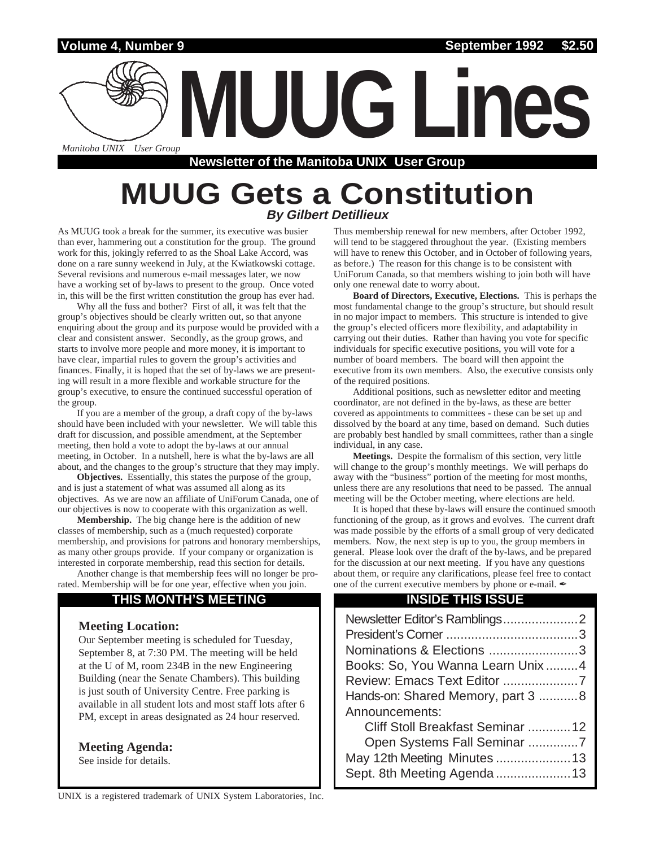

# **MUUG Gets a Constitution By Gilbert Detillieux**

As MUUG took a break for the summer, its executive was busier than ever, hammering out a constitution for the group. The ground work for this, jokingly referred to as the Shoal Lake Accord, was done on a rare sunny weekend in July, at the Kwiatkowski cottage. Several revisions and numerous e-mail messages later, we now have a working set of by-laws to present to the group. Once voted in, this will be the first written constitution the group has ever had.

Why all the fuss and bother? First of all, it was felt that the group's objectives should be clearly written out, so that anyone enquiring about the group and its purpose would be provided with a clear and consistent answer. Secondly, as the group grows, and starts to involve more people and more money, it is important to have clear, impartial rules to govern the group's activities and finances. Finally, it is hoped that the set of by-laws we are presenting will result in a more flexible and workable structure for the group's executive, to ensure the continued successful operation of the group.

If you are a member of the group, a draft copy of the by-laws should have been included with your newsletter. We will table this draft for discussion, and possible amendment, at the September meeting, then hold a vote to adopt the by-laws at our annual meeting, in October. In a nutshell, here is what the by-laws are all about, and the changes to the group's structure that they may imply.

**Objectives.** Essentially, this states the purpose of the group, and is just a statement of what was assumed all along as its objectives. As we are now an affiliate of UniForum Canada, one of our objectives is now to cooperate with this organization as well.

**Membership.** The big change here is the addition of new classes of membership, such as a (much requested) corporate membership, and provisions for patrons and honorary memberships, as many other groups provide. If your company or organization is interested in corporate membership, read this section for details.

Another change is that membership fees will no longer be prorated. Membership will be for one year, effective when you join.

# **THIS MONTH'S MEETING**

### **Meeting Location:**

Our September meeting is scheduled for Tuesday, September 8, at 7:30 PM. The meeting will be held at the U of M, room 234B in the new Engineering Building (near the Senate Chambers). This building is just south of University Centre. Free parking is available in all student lots and most staff lots after 6 PM, except in areas designated as 24 hour reserved.

### **Meeting Agenda:**

See inside for details.

Thus membership renewal for new members, after October 1992, will tend to be staggered throughout the year. (Existing members will have to renew this October, and in October of following years, as before.) The reason for this change is to be consistent with UniForum Canada, so that members wishing to join both will have only one renewal date to worry about.

**Board of Directors, Executive, Elections.** This is perhaps the most fundamental change to the group's structure, but should result in no major impact to members. This structure is intended to give the group's elected officers more flexibility, and adaptability in carrying out their duties. Rather than having you vote for specific individuals for specific executive positions, you will vote for a number of board members. The board will then appoint the executive from its own members. Also, the executive consists only of the required positions.

Additional positions, such as newsletter editor and meeting coordinator, are not defined in the by-laws, as these are better covered as appointments to committees - these can be set up and dissolved by the board at any time, based on demand. Such duties are probably best handled by small committees, rather than a single individual, in any case.

**Meetings.** Despite the formalism of this section, very little will change to the group's monthly meetings. We will perhaps do away with the "business" portion of the meeting for most months, unless there are any resolutions that need to be passed. The annual meeting will be the October meeting, where elections are held.

It is hoped that these by-laws will ensure the continued smooth functioning of the group, as it grows and evolves. The current draft was made possible by the efforts of a small group of very dedicated members. Now, the next step is up to you, the group members in general. Please look over the draft of the by-laws, and be prepared for the discussion at our next meeting. If you have any questions about them, or require any clarifications, please feel free to contact one of the current executive members by phone or e-mail.  $\mathscr I$ 

# **INSIDE THIS ISSUE**

| Nominations & Elections 3          |
|------------------------------------|
| Books: So, You Wanna Learn Unix4   |
| Review: Emacs Text Editor 7        |
| Hands-on: Shared Memory, part 3  8 |
| Announcements:                     |
| Cliff Stoll Breakfast Seminar 12   |
| Open Systems Fall Seminar 7        |
| May 12th Meeting Minutes 13        |
| Sept. 8th Meeting Agenda 13        |
|                                    |

UNIX is a registered trademark of UNIX System Laboratories, Inc.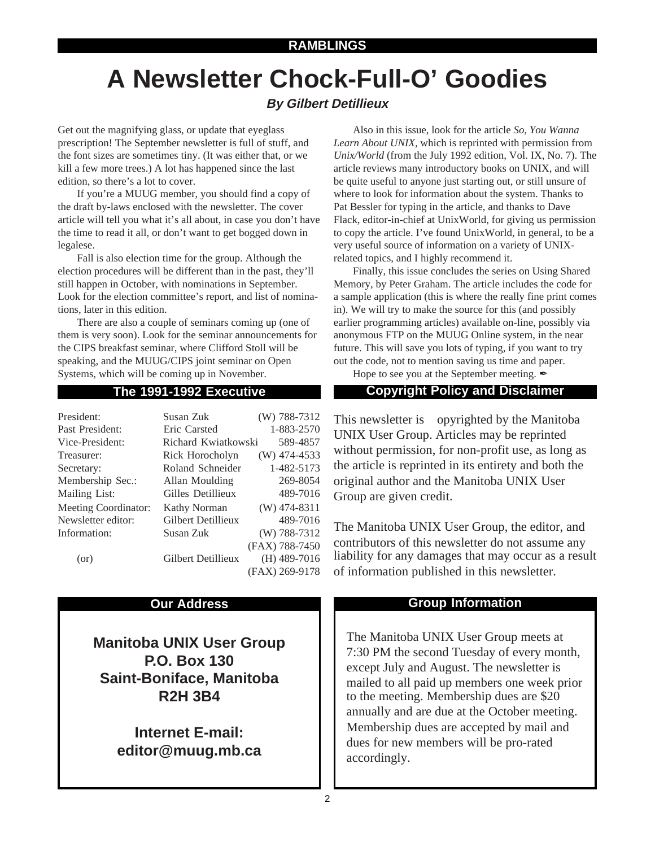# **A Newsletter Chock-Full-O' Goodies**

# **By Gilbert Detillieux**

Get out the magnifying glass, or update that eyeglass prescription! The September newsletter is full of stuff, and the font sizes are sometimes tiny. (It was either that, or we kill a few more trees.) A lot has happened since the last edition, so there's a lot to cover.

If you're a MUUG member, you should find a copy of the draft by-laws enclosed with the newsletter. The cover article will tell you what it's all about, in case you don't have the time to read it all, or don't want to get bogged down in legalese.

Fall is also election time for the group. Although the election procedures will be different than in the past, they'll still happen in October, with nominations in September. Look for the election committee's report, and list of nominations, later in this edition.

There are also a couple of seminars coming up (one of them is very soon). Look for the seminar announcements for the CIPS breakfast seminar, where Clifford Stoll will be speaking, and the MUUG/CIPS joint seminar on Open Systems, which will be coming up in November.

| President:                  | Susan Zuk           | (W) 788-7312   |
|-----------------------------|---------------------|----------------|
| Past President:             | Eric Carsted        | 1-883-2570     |
| Vice-President:             | Richard Kwiatkowski | 589-4857       |
| Treasurer:                  | Rick Horocholyn     | $(W)$ 474-4533 |
| Secretary:                  | Roland Schneider    | 1-482-5173     |
| Membership Sec.:            | Allan Moulding      | 269-8054       |
| Mailing List:               | Gilles Detillieux   | 489-7016       |
| <b>Meeting Coordinator:</b> | <b>Kathy Norman</b> | $(W)$ 474-8311 |
| Newsletter editor:          | Gilbert Detillieux  | 489-7016       |
| Information:                | Susan Zuk           | $(W)$ 788-7312 |
|                             |                     | (FAX) 788-7450 |
| (or)                        | Gilbert Detillieux  | $(H)$ 489-7016 |
|                             |                     | (FAX) 269-9178 |

**Manitoba UNIX User Group P.O. Box 130 Saint-Boniface, Manitoba R2H 3B4**

> **Internet E-mail: editor@muug.mb.ca**

Also in this issue, look for the article *So, You Wanna Learn About UNIX*, which is reprinted with permission from *Unix/World* (from the July 1992 edition, Vol. IX, No. 7). The article reviews many introductory books on UNIX, and will be quite useful to anyone just starting out, or still unsure of where to look for information about the system. Thanks to Pat Bessler for typing in the article, and thanks to Dave Flack, editor-in-chief at UnixWorld, for giving us permission to copy the article. I've found UnixWorld, in general, to be a very useful source of information on a variety of UNIXrelated topics, and I highly recommend it.

Finally, this issue concludes the series on Using Shared Memory, by Peter Graham. The article includes the code for a sample application (this is where the really fine print comes in). We will try to make the source for this (and possibly earlier programming articles) available on-line, possibly via anonymous FTP on the MUUG Online system, in the near future. This will save you lots of typing, if you want to try out the code, not to mention saving us time and paper.

Hope to see you at the September meeting.  $\mathscr I$ 

# **The 1991-1992 Executive Copyright Policy and Disclaimer**

This newsletter is Copyrighted by the Manitoba UNIX User Group. Articles may be reprinted without permission, for non-profit use, as long as the article is reprinted in its entirety and both the original author and the Manitoba UNIX User Group are given credit.

The Manitoba UNIX User Group, the editor, and contributors of this newsletter do not assume any liability for any damages that may occur as a result of information published in this newsletter.

# **Our Address Community Community Community Community Community Community Community Community Community Community Community Community Community Community Community Community Community Community Community Community Community**

The Manitoba UNIX User Group meets at 7:30 PM the second Tuesday of every month, except July and August. The newsletter is mailed to all paid up members one week prior to the meeting. Membership dues are \$20 annually and are due at the October meeting. Membership dues are accepted by mail and dues for new members will be pro-rated accordingly.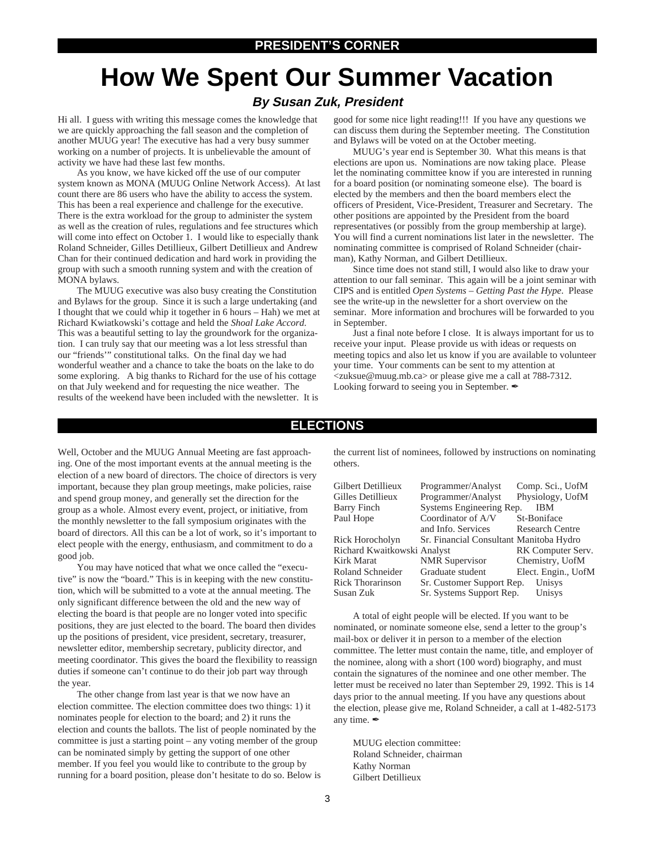# **How We Spent Our Summer Vacation**

## **By Susan Zuk, President**

Hi all. I guess with writing this message comes the knowledge that we are quickly approaching the fall season and the completion of another MUUG year! The executive has had a very busy summer working on a number of projects. It is unbelievable the amount of activity we have had these last few months.

As you know, we have kicked off the use of our computer system known as MONA (MUUG Online Network Access). At last count there are 86 users who have the ability to access the system. This has been a real experience and challenge for the executive. There is the extra workload for the group to administer the system as well as the creation of rules, regulations and fee structures which will come into effect on October 1. I would like to especially thank Roland Schneider, Gilles Detillieux, Gilbert Detillieux and Andrew Chan for their continued dedication and hard work in providing the group with such a smooth running system and with the creation of MONA bylaws.

The MUUG executive was also busy creating the Constitution and Bylaws for the group. Since it is such a large undertaking (and I thought that we could whip it together in 6 hours – Hah) we met at Richard Kwiatkowski's cottage and held the *Shoal Lake Accord*. This was a beautiful setting to lay the groundwork for the organization. I can truly say that our meeting was a lot less stressful than our "friends'" constitutional talks. On the final day we had wonderful weather and a chance to take the boats on the lake to do some exploring. A big thanks to Richard for the use of his cottage on that July weekend and for requesting the nice weather. The results of the weekend have been included with the newsletter. It is

good for some nice light reading!!! If you have any questions we can discuss them during the September meeting. The Constitution and Bylaws will be voted on at the October meeting.

MUUG's year end is September 30. What this means is that elections are upon us. Nominations are now taking place. Please let the nominating committee know if you are interested in running for a board position (or nominating someone else). The board is elected by the members and then the board members elect the officers of President, Vice-President, Treasurer and Secretary. The other positions are appointed by the President from the board representatives (or possibly from the group membership at large). You will find a current nominations list later in the newsletter. The nominating committee is comprised of Roland Schneider (chairman), Kathy Norman, and Gilbert Detillieux.

Since time does not stand still, I would also like to draw your attention to our fall seminar. This again will be a joint seminar with CIPS and is entitled *Open Systems – Getting Past the Hype*. Please see the write-up in the newsletter for a short overview on the seminar. More information and brochures will be forwarded to you in September.

Just a final note before I close. It is always important for us to receive your input. Please provide us with ideas or requests on meeting topics and also let us know if you are available to volunteer your time. Your comments can be sent to my attention at <zuksue@muug.mb.ca> or please give me a call at 788-7312. Looking forward to seeing you in September.

### **ELECTIONS**

Well, October and the MUUG Annual Meeting are fast approaching. One of the most important events at the annual meeting is the election of a new board of directors. The choice of directors is very important, because they plan group meetings, make policies, raise and spend group money, and generally set the direction for the group as a whole. Almost every event, project, or initiative, from the monthly newsletter to the fall symposium originates with the board of directors. All this can be a lot of work, so it's important to elect people with the energy, enthusiasm, and commitment to do a good job.

You may have noticed that what we once called the "executive" is now the "board." This is in keeping with the new constitution, which will be submitted to a vote at the annual meeting. The only significant difference between the old and the new way of electing the board is that people are no longer voted into specific positions, they are just elected to the board. The board then divides up the positions of president, vice president, secretary, treasurer, newsletter editor, membership secretary, publicity director, and meeting coordinator. This gives the board the flexibility to reassign duties if someone can't continue to do their job part way through the year.

The other change from last year is that we now have an election committee. The election committee does two things: 1) it nominates people for election to the board; and 2) it runs the election and counts the ballots. The list of people nominated by the committee is just a starting point – any voting member of the group can be nominated simply by getting the support of one other member. If you feel you would like to contribute to the group by running for a board position, please don't hesitate to do so. Below is the current list of nominees, followed by instructions on nominating others.

| Programmer/Analyst          | Comp. Sci., UofM                                                                                                             |
|-----------------------------|------------------------------------------------------------------------------------------------------------------------------|
| Programmer/Analyst          | Physiology, UofM                                                                                                             |
|                             | <b>IBM</b>                                                                                                                   |
| Coordinator of A/V          | St-Boniface                                                                                                                  |
| and Info. Services          | <b>Research Centre</b>                                                                                                       |
|                             |                                                                                                                              |
| Richard Kwaitkowski Analyst | RK Computer Serv.                                                                                                            |
| <b>NMR</b> Supervisor       | Chemistry, UofM                                                                                                              |
| Graduate student            | Elect. Engin., UofM                                                                                                          |
|                             | Unisys                                                                                                                       |
|                             | Unisys                                                                                                                       |
|                             | Systems Engineering Rep.<br>Sr. Financial Consultant Manitoba Hydro<br>Sr. Customer Support Rep.<br>Sr. Systems Support Rep. |

A total of eight people will be elected. If you want to be nominated, or nominate someone else, send a letter to the group's mail-box or deliver it in person to a member of the election committee. The letter must contain the name, title, and employer of the nominee, along with a short (100 word) biography, and must contain the signatures of the nominee and one other member. The letter must be received no later than September 29, 1992. This is 14 days prior to the annual meeting. If you have any questions about the election, please give me, Roland Schneider, a call at 1-482-5173 any time.  $\mathscr{I}$ 

MUUG election committee: Roland Schneider, chairman Kathy Norman Gilbert Detillieux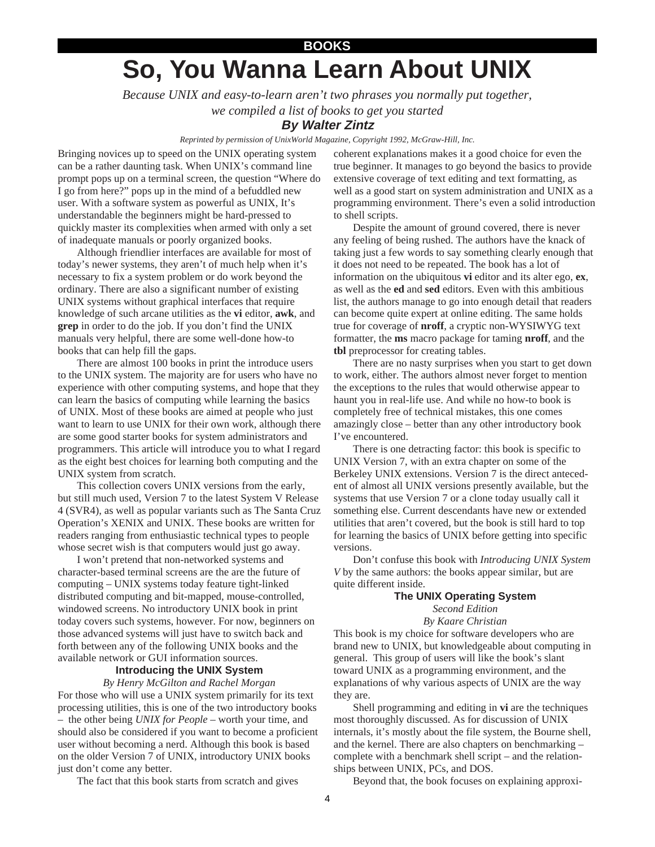# **So, You Wanna Learn About UNIX BOOKS**

*Because UNIX and easy-to-learn aren't two phrases you normally put together, we compiled a list of books to get you started*

# **By Walter Zintz**

*Reprinted by permission of UnixWorld Magazine, Copyright 1992, McGraw-Hill, Inc.*

Bringing novices up to speed on the UNIX operating system can be a rather daunting task. When UNIX's command line prompt pops up on a terminal screen, the question "Where do I go from here?" pops up in the mind of a befuddled new user. With a software system as powerful as UNIX, It's understandable the beginners might be hard-pressed to quickly master its complexities when armed with only a set of inadequate manuals or poorly organized books.

Although friendlier interfaces are available for most of today's newer systems, they aren't of much help when it's necessary to fix a system problem or do work beyond the ordinary. There are also a significant number of existing UNIX systems without graphical interfaces that require knowledge of such arcane utilities as the **vi** editor, **awk**, and **grep** in order to do the job. If you don't find the UNIX manuals very helpful, there are some well-done how-to books that can help fill the gaps.

There are almost 100 books in print the introduce users to the UNIX system. The majority are for users who have no experience with other computing systems, and hope that they can learn the basics of computing while learning the basics of UNIX. Most of these books are aimed at people who just want to learn to use UNIX for their own work, although there are some good starter books for system administrators and programmers. This article will introduce you to what I regard as the eight best choices for learning both computing and the UNIX system from scratch.

This collection covers UNIX versions from the early, but still much used, Version 7 to the latest System V Release 4 (SVR4), as well as popular variants such as The Santa Cruz Operation's XENIX and UNIX. These books are written for readers ranging from enthusiastic technical types to people whose secret wish is that computers would just go away.

I won't pretend that non-networked systems and character-based terminal screens are the are the future of computing – UNIX systems today feature tight-linked distributed computing and bit-mapped, mouse-controlled, windowed screens. No introductory UNIX book in print today covers such systems, however. For now, beginners on those advanced systems will just have to switch back and forth between any of the following UNIX books and the available network or GUI information sources.

#### **Introducing the UNIX System**

*By Henry McGilton and Rachel Morgan* For those who will use a UNIX system primarily for its text processing utilities, this is one of the two introductory books – the other being *UNIX for People* – worth your time, and should also be considered if you want to become a proficient user without becoming a nerd. Although this book is based on the older Version 7 of UNIX, introductory UNIX books just don't come any better.

coherent explanations makes it a good choice for even the true beginner. It manages to go beyond the basics to provide extensive coverage of text editing and text formatting, as well as a good start on system administration and UNIX as a programming environment. There's even a solid introduction to shell scripts.

Despite the amount of ground covered, there is never any feeling of being rushed. The authors have the knack of taking just a few words to say something clearly enough that it does not need to be repeated. The book has a lot of information on the ubiquitous **vi** editor and its alter ego, **ex**, as well as the **ed** and **sed** editors. Even with this ambitious list, the authors manage to go into enough detail that readers can become quite expert at online editing. The same holds true for coverage of **nroff**, a cryptic non-WYSIWYG text formatter, the **ms** macro package for taming **nroff**, and the **tbl** preprocessor for creating tables.

There are no nasty surprises when you start to get down to work, either. The authors almost never forget to mention the exceptions to the rules that would otherwise appear to haunt you in real-life use. And while no how-to book is completely free of technical mistakes, this one comes amazingly close – better than any other introductory book I've encountered.

There is one detracting factor: this book is specific to UNIX Version 7, with an extra chapter on some of the Berkeley UNIX extensions. Version 7 is the direct antecedent of almost all UNIX versions presently available, but the systems that use Version 7 or a clone today usually call it something else. Current descendants have new or extended utilities that aren't covered, but the book is still hard to top for learning the basics of UNIX before getting into specific versions.

Don't confuse this book with *Introducing UNIX System V* by the same authors: the books appear similar, but are quite different inside.

#### **The UNIX Operating System**

*Second Edition*

*By Kaare Christian*

This book is my choice for software developers who are brand new to UNIX, but knowledgeable about computing in general. This group of users will like the book's slant toward UNIX as a programming environment, and the explanations of why various aspects of UNIX are the way they are.

Shell programming and editing in **vi** are the techniques most thoroughly discussed. As for discussion of UNIX internals, it's mostly about the file system, the Bourne shell, and the kernel. There are also chapters on benchmarking – complete with a benchmark shell script – and the relationships between UNIX, PCs, and DOS.

The fact that this book starts from scratch and gives

Beyond that, the book focuses on explaining approxi-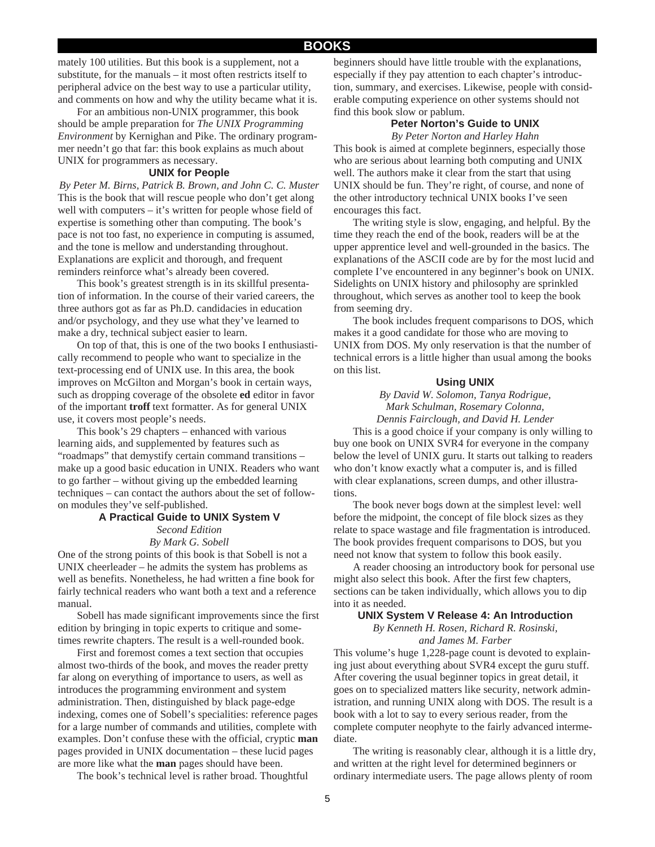#### **BOOKS**

mately 100 utilities. But this book is a supplement, not a substitute, for the manuals – it most often restricts itself to peripheral advice on the best way to use a particular utility, and comments on how and why the utility became what it is.

For an ambitious non-UNIX programmer, this book should be ample preparation for *The UNIX Programming Environment* by Kernighan and Pike. The ordinary programmer needn't go that far: this book explains as much about UNIX for programmers as necessary.

#### **UNIX for People**

*By Peter M. Birns, Patrick B. Brown, and John C. C. Muster* This is the book that will rescue people who don't get along well with computers – it's written for people whose field of expertise is something other than computing. The book's pace is not too fast, no experience in computing is assumed, and the tone is mellow and understanding throughout. Explanations are explicit and thorough, and frequent reminders reinforce what's already been covered.

This book's greatest strength is in its skillful presentation of information. In the course of their varied careers, the three authors got as far as Ph.D. candidacies in education and/or psychology, and they use what they've learned to make a dry, technical subject easier to learn.

On top of that, this is one of the two books I enthusiastically recommend to people who want to specialize in the text-processing end of UNIX use. In this area, the book improves on McGilton and Morgan's book in certain ways, such as dropping coverage of the obsolete **ed** editor in favor of the important **troff** text formatter. As for general UNIX use, it covers most people's needs.

This book's 29 chapters – enhanced with various learning aids, and supplemented by features such as "roadmaps" that demystify certain command transitions – make up a good basic education in UNIX. Readers who want to go farther – without giving up the embedded learning techniques – can contact the authors about the set of followon modules they've self-published.

#### **A Practical Guide to UNIX System V** *Second Edition By Mark G. Sobell*

One of the strong points of this book is that Sobell is not a UNIX cheerleader – he admits the system has problems as well as benefits. Nonetheless, he had written a fine book for fairly technical readers who want both a text and a reference manual.

Sobell has made significant improvements since the first edition by bringing in topic experts to critique and sometimes rewrite chapters. The result is a well-rounded book.

First and foremost comes a text section that occupies almost two-thirds of the book, and moves the reader pretty far along on everything of importance to users, as well as introduces the programming environment and system administration. Then, distinguished by black page-edge indexing, comes one of Sobell's specialities: reference pages for a large number of commands and utilities, complete with examples. Don't confuse these with the official, cryptic **man** pages provided in UNIX documentation – these lucid pages are more like what the **man** pages should have been.

The book's technical level is rather broad. Thoughtful

beginners should have little trouble with the explanations, especially if they pay attention to each chapter's introduction, summary, and exercises. Likewise, people with considerable computing experience on other systems should not find this book slow or pablum.

#### **Peter Norton's Guide to UNIX** *By Peter Norton and Harley Hahn*

This book is aimed at complete beginners, especially those who are serious about learning both computing and UNIX well. The authors make it clear from the start that using UNIX should be fun. They're right, of course, and none of the other introductory technical UNIX books I've seen encourages this fact.

The writing style is slow, engaging, and helpful. By the time they reach the end of the book, readers will be at the upper apprentice level and well-grounded in the basics. The explanations of the ASCII code are by for the most lucid and complete I've encountered in any beginner's book on UNIX. Sidelights on UNIX history and philosophy are sprinkled throughout, which serves as another tool to keep the book from seeming dry.

The book includes frequent comparisons to DOS, which makes it a good candidate for those who are moving to UNIX from DOS. My only reservation is that the number of technical errors is a little higher than usual among the books on this list.

#### **Using UNIX**

*By David W. Solomon, Tanya Rodrigue, Mark Schulman, Rosemary Colonna, Dennis Fairclough, and David H. Lender*

This is a good choice if your company is only willing to buy one book on UNIX SVR4 for everyone in the company below the level of UNIX guru. It starts out talking to readers who don't know exactly what a computer is, and is filled with clear explanations, screen dumps, and other illustrations.

The book never bogs down at the simplest level: well before the midpoint, the concept of file block sizes as they relate to space wastage and file fragmentation is introduced. The book provides frequent comparisons to DOS, but you need not know that system to follow this book easily.

A reader choosing an introductory book for personal use might also select this book. After the first few chapters, sections can be taken individually, which allows you to dip into it as needed.

#### **UNIX System V Release 4: An Introduction**

*By Kenneth H. Rosen, Richard R. Rosinski, and James M. Farber*

This volume's huge 1,228-page count is devoted to explaining just about everything about SVR4 except the guru stuff. After covering the usual beginner topics in great detail, it goes on to specialized matters like security, network administration, and running UNIX along with DOS. The result is a book with a lot to say to every serious reader, from the complete computer neophyte to the fairly advanced intermediate.

The writing is reasonably clear, although it is a little dry, and written at the right level for determined beginners or ordinary intermediate users. The page allows plenty of room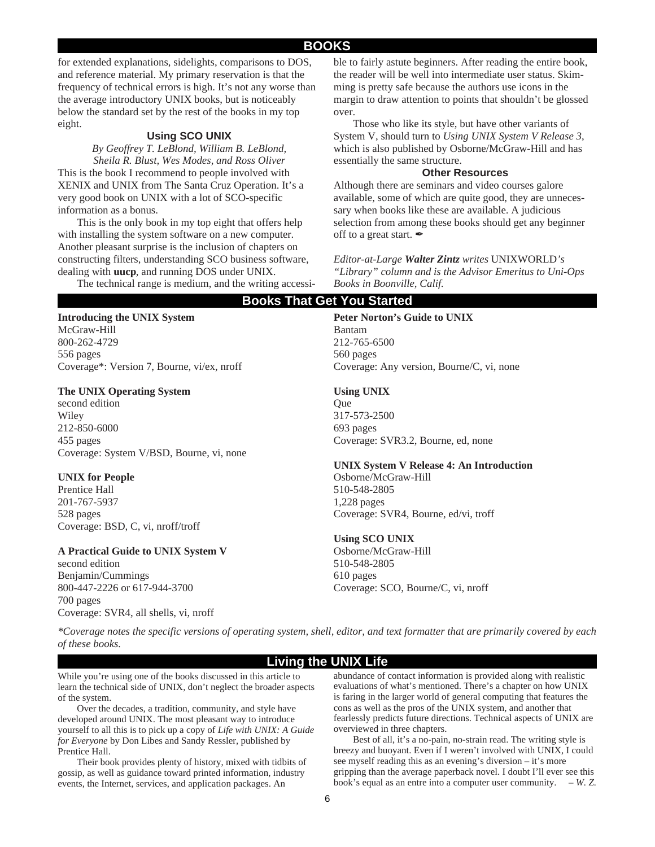## **BOOKS**

for extended explanations, sidelights, comparisons to DOS, and reference material. My primary reservation is that the frequency of technical errors is high. It's not any worse than the average introductory UNIX books, but is noticeably below the standard set by the rest of the books in my top eight.

### **Using SCO UNIX**

*By Geoffrey T. LeBlond, William B. LeBlond, Sheila R. Blust, Wes Modes, and Ross Oliver*

This is the book I recommend to people involved with XENIX and UNIX from The Santa Cruz Operation. It's a very good book on UNIX with a lot of SCO-specific information as a bonus.

This is the only book in my top eight that offers help with installing the system software on a new computer. Another pleasant surprise is the inclusion of chapters on constructing filters, understanding SCO business software, dealing with **uucp**, and running DOS under UNIX.

The technical range is medium, and the writing accessi-

**Introducing the UNIX System**

McGraw-Hill 800-262-4729 556 pages Coverage\*: Version 7, Bourne, vi/ex, nroff

#### **The UNIX Operating System**

second edition Wiley 212-850-6000 455 pages Coverage: System V/BSD, Bourne, vi, none

#### **UNIX for People**

Prentice Hall 201-767-5937 528 pages Coverage: BSD, C, vi, nroff/troff

#### **A Practical Guide to UNIX System V**

second edition Benjamin/Cummings 800-447-2226 or 617-944-3700 700 pages Coverage: SVR4, all shells, vi, nroff

ble to fairly astute beginners. After reading the entire book, the reader will be well into intermediate user status. Skimming is pretty safe because the authors use icons in the margin to draw attention to points that shouldn't be glossed over.

Those who like its style, but have other variants of System V, should turn to *Using UNIX System V Release 3*, which is also published by Osborne/McGraw-Hill and has essentially the same structure.

#### **Other Resources**

Although there are seminars and video courses galore available, some of which are quite good, they are unnecessary when books like these are available. A judicious selection from among these books should get any beginner off to a great start.  $\mathscr{L}$ 

*Editor-at-Large Walter Zintz writes* UNIXWORLD*'s "Library" column and is the Advisor Emeritus to Uni-Ops Books in Boonville, Calif.*

#### **Books That Get You Started**

#### **Peter Norton's Guide to UNIX** Bantam 212-765-6500

560 pages Coverage: Any version, Bourne/C, vi, none

#### **Using UNIX**

**Oue** 317-573-2500 693 pages Coverage: SVR3.2, Bourne, ed, none

#### **UNIX System V Release 4: An Introduction**

Osborne/McGraw-Hill 510-548-2805 1,228 pages Coverage: SVR4, Bourne, ed/vi, troff

#### **Using SCO UNIX**

Osborne/McGraw-Hill 510-548-2805 610 pages Coverage: SCO, Bourne/C, vi, nroff

*\*Coverage notes the specific versions of operating system, shell, editor, and text formatter that are primarily covered by each of these books.*

#### **Living the UNIX Life**

While you're using one of the books discussed in this article to learn the technical side of UNIX, don't neglect the broader aspects of the system.

Over the decades, a tradition, community, and style have developed around UNIX. The most pleasant way to introduce yourself to all this is to pick up a copy of *Life with UNIX: A Guide for Everyone* by Don Libes and Sandy Ressler, published by Prentice Hall.

Their book provides plenty of history, mixed with tidbits of gossip, as well as guidance toward printed information, industry events, the Internet, services, and application packages. An

abundance of contact information is provided along with realistic evaluations of what's mentioned. There's a chapter on how UNIX is faring in the larger world of general computing that features the cons as well as the pros of the UNIX system, and another that fearlessly predicts future directions. Technical aspects of UNIX are overviewed in three chapters.

Best of all, it's a no-pain, no-strain read. The writing style is breezy and buoyant. Even if I weren't involved with UNIX, I could see myself reading this as an evening's diversion – it's more gripping than the average paperback novel. I doubt I'll ever see this book's equal as an entre into a computer user community. *– W. Z.*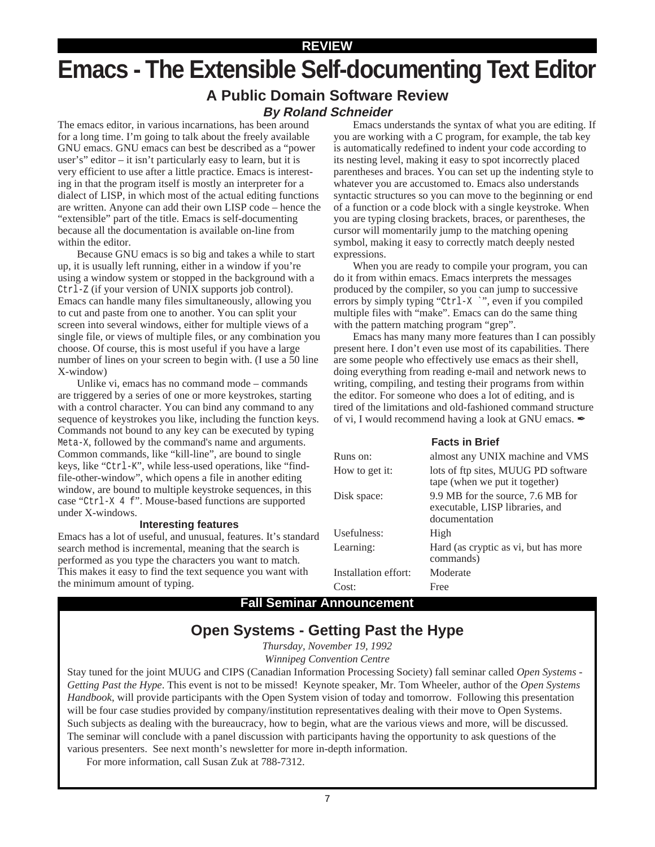# **REVIEW**

# **Emacs - The Extensible Self-documenting Text Editor**

# **A Public Domain Software Review By Roland Schneider**

The emacs editor, in various incarnations, has been around for a long time. I'm going to talk about the freely available GNU emacs. GNU emacs can best be described as a "power user's" editor – it isn't particularly easy to learn, but it is very efficient to use after a little practice. Emacs is interesting in that the program itself is mostly an interpreter for a dialect of LISP, in which most of the actual editing functions are written. Anyone can add their own LISP code – hence the "extensible" part of the title. Emacs is self-documenting because all the documentation is available on-line from within the editor.

Because GNU emacs is so big and takes a while to start up, it is usually left running, either in a window if you're using a window system or stopped in the background with a Ctrl-Z (if your version of UNIX supports job control). Emacs can handle many files simultaneously, allowing you to cut and paste from one to another. You can split your screen into several windows, either for multiple views of a single file, or views of multiple files, or any combination you choose. Of course, this is most useful if you have a large number of lines on your screen to begin with. (I use a 50 line X-window)

Unlike vi, emacs has no command mode – commands are triggered by a series of one or more keystrokes, starting with a control character. You can bind any command to any sequence of keystrokes you like, including the function keys. Commands not bound to any key can be executed by typing Meta-X, followed by the command's name and arguments. Common commands, like "kill-line", are bound to single keys, like "Ctrl-K", while less-used operations, like "findfile-other-window", which opens a file in another editing window, are bound to multiple keystroke sequences, in this case "Ctrl-X 4 f". Mouse-based functions are supported under X-windows.

#### **Interesting features**

Emacs has a lot of useful, and unusual, features. It's standard search method is incremental, meaning that the search is performed as you type the characters you want to match. This makes it easy to find the text sequence you want with the minimum amount of typing.

Emacs understands the syntax of what you are editing. If you are working with a C program, for example, the tab key is automatically redefined to indent your code according to its nesting level, making it easy to spot incorrectly placed parentheses and braces. You can set up the indenting style to whatever you are accustomed to. Emacs also understands syntactic structures so you can move to the beginning or end of a function or a code block with a single keystroke. When you are typing closing brackets, braces, or parentheses, the cursor will momentarily jump to the matching opening symbol, making it easy to correctly match deeply nested expressions.

When you are ready to compile your program, you can do it from within emacs. Emacs interprets the messages produced by the compiler, so you can jump to successive errors by simply typing "Ctrl-X `", even if you compiled multiple files with "make". Emacs can do the same thing with the pattern matching program "grep".

Emacs has many many more features than I can possibly present here. I don't even use most of its capabilities. There are some people who effectively use emacs as their shell, doing everything from reading e-mail and network news to writing, compiling, and testing their programs from within the editor. For someone who does a lot of editing, and is tired of the limitations and old-fashioned command structure of vi, I would recommend having a look at GNU emacs.  $\mathscr{I}$ 

#### **Facts in Brief**

| Runs on:             | almost any UNIX machine and VMS                                                       |
|----------------------|---------------------------------------------------------------------------------------|
| How to get it:       | lots of ftp sites, MUUG PD software<br>tape (when we put it together)                 |
| Disk space:          | 9.9 MB for the source, 7.6 MB for<br>executable, LISP libraries, and<br>documentation |
| Usefulness:          | High                                                                                  |
| Learning:            | Hard (as cryptic as vi, but has more<br>commands)                                     |
| Installation effort: | Moderate                                                                              |
| Cost:                | Free                                                                                  |

# **Fall Seminar Announcement**

# **Open Systems - Getting Past the Hype**

*Thursday, November 19, 1992 Winnipeg Convention Centre*

Stay tuned for the joint MUUG and CIPS (Canadian Information Processing Society) fall seminar called *Open Systems - Getting Past the Hype*. This event is not to be missed! Keynote speaker, Mr. Tom Wheeler, author of the *Open Systems Handbook*, will provide participants with the Open System vision of today and tomorrow. Following this presentation will be four case studies provided by company/institution representatives dealing with their move to Open Systems. Such subjects as dealing with the bureaucracy, how to begin, what are the various views and more, will be discussed. The seminar will conclude with a panel discussion with participants having the opportunity to ask questions of the various presenters. See next month's newsletter for more in-depth information.

For more information, call Susan Zuk at 788-7312.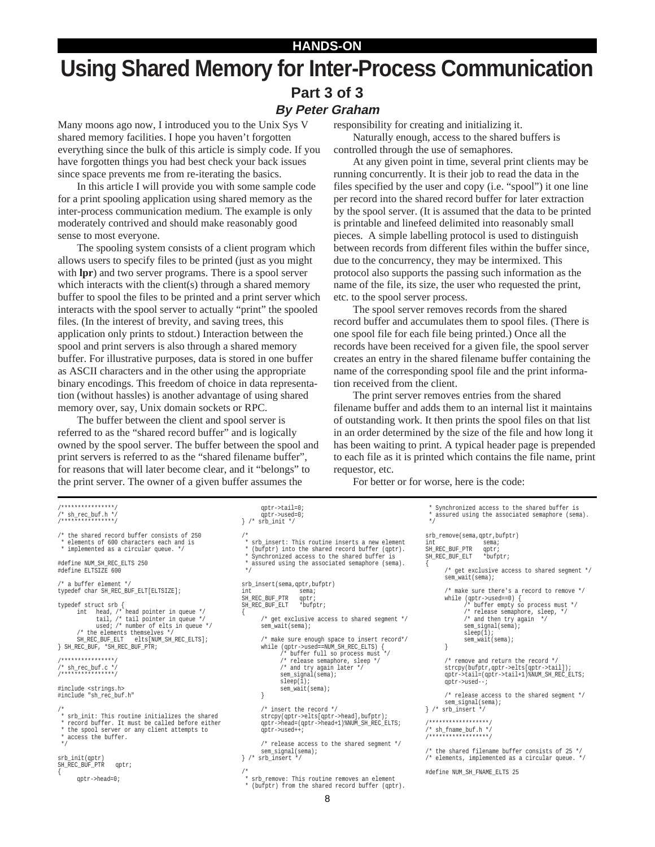# **HANDS-ON Using Shared Memory for Inter-Process Communication Part 3 of 3 By Peter Graham**

Many moons ago now, I introduced you to the Unix Sys V shared memory facilities. I hope you haven't forgotten everything since the bulk of this article is simply code. If you have forgotten things you had best check your back issues since space prevents me from re-iterating the basics.

In this article I will provide you with some sample code for a print spooling application using shared memory as the inter-process communication medium. The example is only moderately contrived and should make reasonably good sense to most everyone.

The spooling system consists of a client program which allows users to specify files to be printed (just as you might with **lpr**) and two server programs. There is a spool server which interacts with the client(s) through a shared memory buffer to spool the files to be printed and a print server which interacts with the spool server to actually "print" the spooled files. (In the interest of brevity, and saving trees, this application only prints to stdout.) Interaction between the spool and print servers is also through a shared memory buffer. For illustrative purposes, data is stored in one buffer as ASCII characters and in the other using the appropriate binary encodings. This freedom of choice in data representation (without hassles) is another advantage of using shared memory over, say, Unix domain sockets or RPC.

The buffer between the client and spool server is referred to as the "shared record buffer" and is logically owned by the spool server. The buffer between the spool and print servers is referred to as the "shared filename buffer", for reasons that will later become clear, and it "belongs" to the print server. The owner of a given buffer assumes the

responsibility for creating and initializing it.

Naturally enough, access to the shared buffers is controlled through the use of semaphores.

At any given point in time, several print clients may be running concurrently. It is their job to read the data in the files specified by the user and copy (i.e. "spool") it one line per record into the shared record buffer for later extraction by the spool server. (It is assumed that the data to be printed is printable and linefeed delimited into reasonably small pieces. A simple labelling protocol is used to distinguish between records from different files within the buffer since, due to the concurrency, they may be intermixed. This protocol also supports the passing such information as the name of the file, its size, the user who requested the print, etc. to the spool server process.

The spool server removes records from the shared record buffer and accumulates them to spool files. (There is one spool file for each file being printed.) Once all the records have been received for a given file, the spool server creates an entry in the shared filename buffer containing the name of the corresponding spool file and the print information received from the client.

The print server removes entries from the shared filename buffer and adds them to an internal list it maintains of outstanding work. It then prints the spool files on that list in an order determined by the size of the file and how long it has been waiting to print. A typical header page is prepended to each file as it is printed which contains the file name, print requestor, etc.

For better or for worse, here is the code:

{

```
/* sh_rec_buf.h
/****************/
/* the shared record buffer consists of 250
   elements of 600 characters each and is
  * implemented as a circular queue. */
#define NUM_SH_REC_ELTS 250
#define ELTSIZE 600
/* a buffer element */
typedef char SH_REC_BUF_ELT[ELTSIZE];
typedef struct srb {
       int head, /* head pointer in queue */
tail, /* tail pointer in queue */
             used; /* number of elts in queue */
       /* the elements themselves *<br>SH REC BUF ELT elts[NUM SH
                           elts[NUM_SH_REC_ELTS];
} SH_REC_BUF, *SH_REC_BUF_PTR;
/****************/
/* sh_rec_buf.c */
/****************/
#include <strings.h>
#include "sh_rec_buf.h"
/*
 * srb_init: This routine initializes the shared
 * record buffer. It must be called before either
  * the spool server or any client attempts to
   access the buffer.
  */
srb_init(qptr)
SH_REC_BUF_PTR qptr;
       qptr->head=0;
```
/\*\*\*\*\*\*\*\*\*\*\*\*\*\*\*\*/

{

```
qptr->tail=0;
qptr->used=0;
} /* srb_init */
/*
 * srb_insert: This routine inserts a new element
 * (bufptr) into the shared record buffer (qptr).
 * Synchronized access to the shared buffer is
  * assured using the associated semaphore (sema).
 */
srb_insert(sema,qptr,bufptr)
                       sema;
SH_REC_BUF_PTR qptr;<br>SH_REC_BUF_ELT *bufptr;
SH_REC_BUF_ELT
{
        /* get exclusive access to shared segment */
       sem_wait(sema);
       /* make sure enough space to insert record*/
       while (qptr->used==NUM_SH_REC_ELTS) {
                /* buffer full so process must */
/* release semaphore, sleep */
/* and try again later */
               sem_signal(sema);
                sleep(1);
sem_wait(sema);
       }
        /* insert the record */
        strcpy(qptr->elts[qptr->head],bufptr);
qptr->head=(qptr->head+1)%NUM_SH_REC_ELTS;
        qptr->used++;
        /* release access to the shared segment */
        sem_signal(sema);
} /* srb_insert */
/*
```
 \* srb\_remove: This routine removes an element  $(bufptr)$  from the shared record buffer  $(aptr)$ .

```
 */
srb_remove(sema,qptr,bufptr)
int sema;<br>SH_REC_BUF_PTR qptr;<br>SH_REC_BUF_ELT *bufptr;
SH_REC_BUF_PTR
SH_REC_BUF_ELT
          /* get exclusive access to shared segment */
       sem_wait(sema);
        /* make sure there's a record to remove */
        while (qptr->used==0) {
/* buffer empty so process must */
               /* release semaphore, sleep, */
/* and then try again */
               sem_signal(sema);
               sleep(1);
               sem_wait(sema);
       }
        /* remove and return the record
        strcpy(bufptr,qptr->elts[qptr->tail]);
qptr->tail=(qptr->tail+1)%NUM_SH_REC_ELTS;
        qptr->used--;
        /* release access to the shared segment */
        sem_signal(sema);
} /* srb_insert */
 /******************/
/* sh_fname_buf.h */
/******************/
/* the shared filename buffer consists of 25 */
/* elements, implemented as a circular queue. */
#define NUM_SH_FNAME_ELTS 25
```
Synchronized access to the shared buffer is assured using the associated semaphore (sema).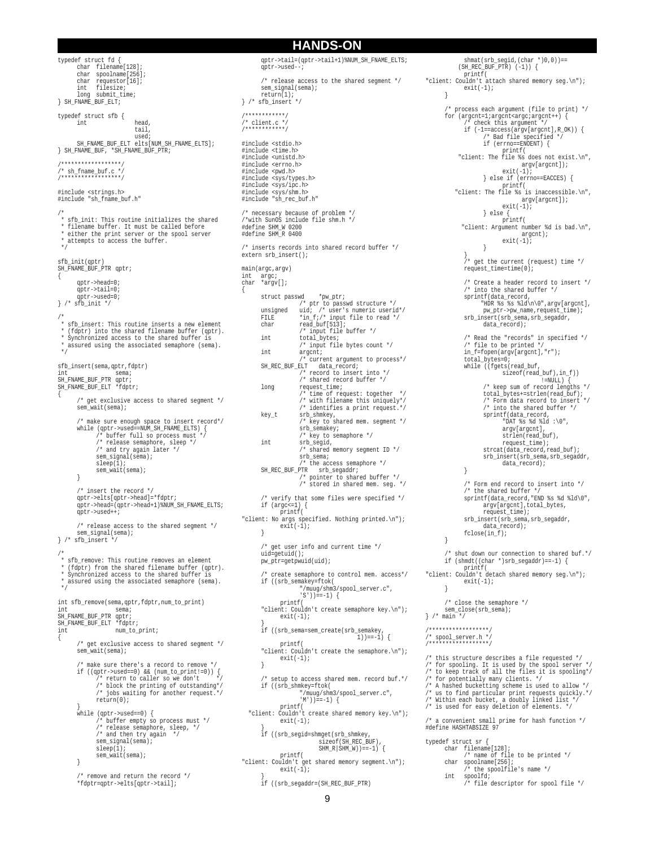typedef struct fd { char filename[128]; char spoolname[256]; char requestor[16]; int filesize; long submit\_time; } SH\_FNAME\_BUF\_ELT; typedef struct sfb { head. tail, used; SH\_FNAME\_BUF\_ELT elts[NUM\_SH\_FNAME\_ELTS]; } SH\_FNAME\_BUF, \*SH\_FNAME\_BUF\_PTR; /\*\*\*\*\*\*\*\*\*\*\*\*\*\*\*\*\*\*/ /\* sh\_fname\_buf.c \*/ /\*\*\*\*\*\*\*\*\*\*\*\*\*\*\*\*\*\*/ #include <strings.h> #include "sh\_fname\_buf.h" /\* \* sfb\_init: This routine initializes the shared \* filename buffer. It must be called before \* either the print server or the spool server \* attempts to access the buffer. \*/ sfb\_init(qptr) SH\_FNAME\_BUF\_PTR qptr; { qptr->head=0; qptr->tail=0; qptr->used=0; } /\* sfb\_init \*/ /\* \* sfb\_insert: This routine inserts a new element \* (fdptr) into the shared filename buffer (qptr). \* Synchronized access to the shared buffer is \* assured using the associated semaphore (sema). \*/ sfb\_insert(sema,qptr,fdptr) int sema; SH\_FNAME\_BUF\_PTR qptr; SH\_FNAME\_BUF\_ELT \*fdptr; { /\* get exclusive access to shared segment \*/ sem\_wait(sema); /\* make sure enough space to insert record\*/ while (qptr->used==NUM\_SH\_FNAME\_ELTS) { /\* buffer full so process must \*/ /\* release semaphore, sleep \*/ /\* and try again later \*/ sem\_signal(sema); sleep(1);<br>sem\_wait(sema); } /\* insert the record \*/ qptr->elts[qptr->head]=\*fdptr; qptr->head=(qptr->head+1)%NUM\_SH\_FNAME\_ELTS; qptr->used++; /\* release access to the shared segment \*/ sem\_signal(sema); } /\* sfb\_insert \*/ /\* \* sfb\_remove: This routine removes an element \* (fdptr) from the shared filename buffer (qptr). Synchronized access to the shared buffer is assured using the associated semaphore (sema). \*/ int sfb\_remove(sema,qptr,fdptr,num\_to\_print) int sema; SH\_FNAME\_BUF\_PTR qptr; SH\_FNAME\_BUF\_ELT \*fdptr; int num\_to\_print; { /\* get exclusive access to shared segment \*/ sem\_wait(sema); /\* make sure there's a record to remove \*/ if ((qptr->used==0) && (num\_to\_print!=0)) { /\* return to caller so we don't \*/ /\* block the printing of outstanding\*/ /\* jobs waiting for another request.\*/  $return(0);$ } while (qptr->used==0) { /\* buffer empty so process must \*/ /\* release semaphore, sleep, \*/ /\* and then try again \*/ sem\_signal(sema);  $sleep(1);$ sem\_wait(sema); }

/\* remove and return the record \*/ \*fdptr=qptr->elts[qptr->tail];

qptr->tail=(qptr->tail+1)%NUM\_SH\_FNAME\_ELTS; qptr->used--; /\* release access to the shared segment \*/ sem\_signal(sema);  $r \cdot \overline{r}$ } /\* sfb\_insert \*/ /\*\*\*\*\*\*\*\*\*\*\*\*/  $\frac{1}{2}$  client c \*  $\frac{1}{2}$ /\*\*\*\*\*\*\*\*\*\*\*\*/ #include <stdio.h> #include <time.h> #include <unistd.h> #include <errno.h> #include <pwd.h> #include <sys/types.h> #include <sys/ipc.h> #include <sys/shm.h> #include "sh\_rec\_buf.h" /\* necessary because of problem \*/ /\*with SunOS include file shm.h \*/ #define SHM\_W 0200 #define SHM\_R 0400 /\* inserts records into shared record buffer \*/ extern srb\_insert(); main(argc,argv) int argc; char \*argv[]; struct passwd \*pw\_ptr;<br>unsigned uid; /\* user's numeric userid\*/<br>FILE \*in\_f;/\* input file to read \*/<br>char read\_buf[513]; /\* input file buffer \*/ int total\_bytes; /\* input file bytes count \*/ int argcnt; /\* current argument to process\*/ SH\_REC\_BUF\_ELT data\_record; /\* record to insert into \*/ /\* shared record buffer \*/ long request\_time; /\* time of request: together \*/ /\* with filename this uniquely\*/ /\* identifies a print request.\*/ key\_t srb\_shmkey, /\* key to shared mem. segment \*/ srb\_semakey; /\* key to semaphore \*/ int srb\_segid, /\* shared memory segment ID \*/  $s$ rb sema; /\* the access semaphore \*/ SH\_REC\_BUF\_PTR srb\_segaddr; /\* pointer to shared buffer \*/ /\* stored in shared mem. seg. \*/ /\* verify that some files were specified \*/ if (argc<=1) { printf( "client: No args specified. Nothing printed.\n");  $exit(-1);$ } /\* get user info and current time \*/ uid=getuid();  $\texttt{pw\_ptr=getpwind}(\texttt{uid});$ create semaphore to control mem. access\*/ if ((srb\_semakey=ftok( "/muug/shm3/spool\_server.c",  $'S'$ ))==-1) { printf( "client: Couldn't create semaphore key.\n"); exit(-1); } if ((srb\_sema=sem\_create(srb\_semakey, 1))==-1) { printf( "client: Couldn't create the semaphore.\n");<br>exit(-1); } /\* setup to access shared mem. record buf.\*/ if ((srb\_shmkey=ftok( "/muug/shm3/spool\_server.c", 'M'))==-1) { printf( "client: Couldn't create shared memory key.\n");<br>exit(-1); } if ((srb\_segid=shmget(srb\_shmkey, sizeof(SH\_REC\_BUF), SHM\_R|SHM\_W))==-1) { printf( "client: Couldn't get shared memory segment.\n");  $(x^{\text{int}}(-1))$ ; } if ((srb\_segaddr=(SH\_REC\_BUF\_PTR)

{

**HANDS-ON**

} /\* process each argument (file to print) \*/<br>
for (argcnt=1;argcnt=1;argcnt=1;argcnt=1;argcnt],R\_OK)) {<br>
/\* check this argument \*/<br>
if (-1==access(argv[argcnt],R\_OK)) {<br>
/\* Bad file specified \*/<br>
if (errno==ENOENT) { printf(<br>"client: The file %s does not exist.\n", argv[argcnt]); exit(-1); } else if (errno==EACCES) { printf(<br>"client: The file %s is inaccessible.\n", argv[argcnt]); exit(-1); } else { printf( "client: Argument number %d is bad.\n", argcnt); exit(-1); } } /\* get the current (request) time \*/ request\_time=time(0); Create a header record to insert \*/ /\* into the shared buffer \*/ sprintf(data\_record, "HDR %s %s %ld\n\0",argv[argcnt], pw\_ptr->pw\_name,request\_time); srb\_insert(srb\_sema,srb\_segaddr, data\_record); /\* Read the "records" in specified \*/ /\* file to be printed \*/ in\_f=fopen(argv[argcnt],"r"); total\_bytes=0; while ((fgets(read\_buf, sizeof(read\_buf),in\_f)) !=NULL) { /\* keep sum of record lengths \*/ total\_bytes+=strlen(read\_buf); /\* Form data record to insert \*/ /\* into the shared buffer \*/ sprintf(data\_record, "DAT %s %d %ld :\0", argv[argcnt], strlen(read\_buf), request\_time); strcat(data\_record,read\_buf); srb\_insert(srb\_sema,srb\_segaddr, data\_record); } /\* Form end record to insert into \*/ /\* the shared buffer \*/ sprintf(data\_record,"END %s %d %ld\0", argv[argcnt], total\_bytes, request time); srb\_insert(srb\_sema,srb\_segaddr, data\_record); fclose(in\_f); } /\* shut down our connection to shared buf.\*/  $\begin{array}{lcl} \texttt{if (shmdt((char * )srb\_segaddr) == -1) { } \end{array}$ printf( "client: Couldn't detach shared memory seg.\n");  $ext(-1);$ } /\* close the semaphore \*/ sem\_close(srb\_sema); } /\* main \*/ /\*\*\*\*\*\*\*\*\*\*\*\*\*\*\*\*\*\*/ /\* spool\_server.h \*/ /\*\*\*\*\*\*\*\*\*\*\*\*\*\*\*\*\*\*/ /\* this structure describes a file requested \*/ /\* for spooling. It is used by the spool server \*/ /\* to keep track of all the files it is spooling\*/ /\* for potentially many clients. \*/ /\* A hashed bucketting scheme is used to allow \*/ /\* us to find particular print requests quickly.\*/ /\* Within each bucket, a doubly linked list \*/ /\* is used for easy deletion of elements. \*/ /\* a convenient small prime for hash function \*/ #define HASHTABSIZE 97 typedef struct sr { char filename[128]; /\* name of file to be printed \*/ char spoolname[256]; /\* the spoolfile's name \*/ int spoolfd; /\* file descriptor for spool file \*/

shmat(srb\_segid,(char \*)0,0))==

 (SH\_REC\_BUF\_PTR) (-1)) { printf( "client: Couldn't attach shared memory seg.\n"); exit(-1);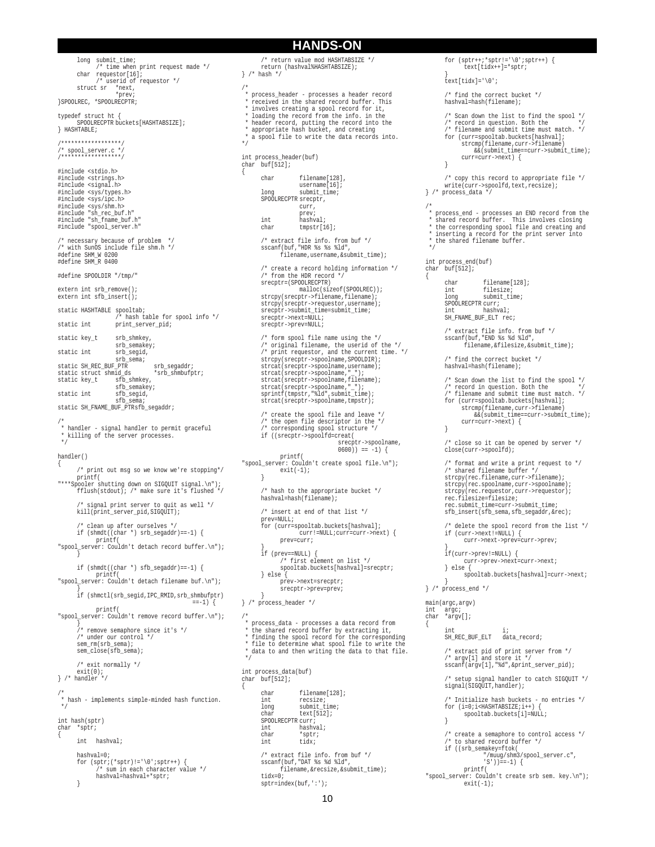long submit\_time; /\* time when print request made \*/ char requestor[16]; /\* userid of requestor \*/ struct sr \*next, \*prev; }SPOOLREC, \*SPOOLRECPTR; typedef struct ht { SPOOLRECPTR buckets[HASHTABSIZE]; } HASHTABLE; /\*\*\*\*\*\*\*\*\*\*\*\*\*\*\*\*\*\*/ /\* spool\_server.c \*/ /\*\*\*\*\*\*\*\*\*\*\*\*\*\*\*\*\*\*/ #include <stdio.h> #include <strings.h> #include <signal.h> #include <sys/types.h> #include <sys/ipc.h> #include <sys/shm.h> #include "sh\_rec\_buf.h" #include "sh\_fname\_buf.h" #include "spool\_server.h" /\* necessary because of problem \*/ /\* with SunOS include file shm.h \*/ #define SHM\_W 0200 #define SHM\_R 0400 #define SPOOLDIR "/tmp/" extern int srb remove(); extern int sfb\_insert(); static HASHTABLE spooltab; /\* hash table for spool info \*/ static int print\_server\_pid; static key t srb shmkey, srb\_semakey; static int srb\_segid, srb\_sema; static SH\_REC\_BUF\_PTR srb\_segaddr;<br>static struct shmid\_ds \*srb\_shmbufptr;  $\begin{tabular}{ll} static struct shmid_ds\\ static key_t & sfb_s\\ \end{tabular}$ static key\_t sfb\_shmkey, sfb\_semakey; static int sfb segid,  $sfb$  $sei$ static SH\_FNAME\_BUF\_PTRsfb\_segaddr; /\* \* handler - signal handler to permit graceful \* killing of the server processes. \*/ handler() { /\* print out msg so we know we're stopping\*/ printf( "\*\*\*Spooler shutting down on SIGQUIT signal.\n"); fflush(stdout); /\* make sure it's flushed \*/ /\* signal print server to quit as well \*/ kill(print\_server\_pid,SIGQUIT); /\* clean up after ourselves \*/ if (shmdt((char \*) srb\_segaddr)==-1) { printf( "spool\_server: Couldn't detach record buffer.\n"); }  $\begin{minipage}[c]{0.9\linewidth} \begin{tabular}{l} \bf 1f (shmdt((char * ) sfb_segaddr) == -1) \end{tabular} \end{minipage}$ printf( "spool\_server: Couldn't detach filename buf.\n"); } if (shmctl(srb\_segid,IPC\_RMID,srb\_shmbufptr)  $==-1$ ) { printf( "spool\_server: Couldn't remove record buffer.\n"); } /\* remove semaphore since it's \*/ /\* under our control \*/ sem\_rm(srb\_sema); sem\_close(sfb\_sema); /\* exit normally \*/ exit(0); } /\* handler \*/ /\* \* hash - implements simple-minded hash function. \*/ int hash(sptr) char \*sptr; { int hashval; hashval=0; for  $(sptr;(*sptr):='\\0';sptr++)$  { /\* sum in each character value \*/ hashval=hashval+\*sptr; }

#### /\* return value mod HASHTABSIZE \*/ return (hashval%HASHTABSIZE); } /\* hash \*/ /\* \* process\_header - processes a header record received in the shared record buffer. This \* involves creating a spool record for it, \* loading the record from the info. in the \* header record, putting the record into the \* appropriate hash bucket, and creating \* a spool file to write the data records into. \*/ int process\_header(buf) char buf[512]; { char filename[128], username[16]; long submit\_time; SPOOLRECPTR srecptr, curr, prev; int hashval; char tmpstr[16]; /\* extract file info. from buf \*/ sscanf(buf,"HDR %s %s %ld", filename,username,&submit\_time); /\* create a record holding information \*/ /\* from the HDR record \*/ srecptr=(SPOOLRECPTR) malloc(sizeof(SPOOLREC)); strcpy(srecptr->filename,filename); strcpy(srecptr->requestor,username); srecptr->submit\_time=submit\_time; srecptr->next=NULL; srecptr->prev=NULL; /\* form spool file name using the \*/ /\* original filename, the userid of the \*/ /\* print requestor, and the current time. \*/ strcpy(srecptr->spoolname, SPOOLDIR); strcat(srecptr->spoolname,username); strcat(srecptr->spoolname,"\_"); strcat(srecptr->spoolname,filename);<br>strcat(srecptr->spoolname,"\_");<br>sprintf(tmpstr,"%ld",submit\_time);<br>strcat(srecptr->spoolname,tmpstr); /\* create the spool file and leave \*/ /\* the open file descriptor in the \*/ /\* corresponding spool structure \*/ if ((srecptr->spoolfd=creat( srecptr->spoolname, 0600)) == -1) { printf( "spool\_server: Couldn't create spool file.\n"); exit(-1); } /\* hash to the appropriate bucket \*/ hashval=hash(filename); /\* insert at end of that list \*/ prev=NULL; for (curr=spooltab.buckets[hashval]; curr!=NULL;curr=curr->next) { prev=curr; } if (prev==NULL) { /\* first element on list \*/ spooltab.buckets[hashval]=srecptr; } else { prev->next=srecptr; srecptr->prev=prev; } } /\* process\_header \*/ /\* \* process\_data - processes a data record from \* the shared record buffer by extracting it, \* finding the spool record for the corresponding file to determine what spool file to write the \* data to and then writing the data to that file. \*/ int process\_data(buf) char buf[512]; { char filename[128];<br>int recsize; int recsize; long submit\_time; char text[512]; SPOOLRECPTR curr; int hashval; char \*sptr;<br>int tidx;  $\tilde{t}$ idx; /\* extract file info. from buf \*/ sscanf(buf, "DAT %s %d %ld", filename,&recsize,&submit\_time); tidx=0; sptr=index(buf,':');

**HANDS-ON**

for  $(sptr++; *spr!=\'0';spr++)$  { text[tidx++]=\*sptr; } text[tidx]='\0'; /\* find the correct bucket \*/ hashval=hash(filename); /\* Scan down the list to find the spool \*/ /\* record in question. Both the \*/ /\* filename and submit time must match. \*/ for (curr=spooltab.buckets[hashval]; strcmp(filename,curr->filename) &&(submit\_time==curr->submit\_time); curr=curr->next) { } /\* copy this record to appropriate file \*/ write(curr->spoolfd,text,recsize); } /\* process\_data \*/ /\* \* process\_end - processes an END record from the<br>\* shared record buffer. This involves closing<br>\* the corresponding spool file and creating and<br>\* inserting a record for the print server into<br>\* the shared filename buffer. \*/ int process\_end(buf) char buf[512]; char filename[128];<br>int filesize; int filesize;<br>long submit\_ti submit\_time; SPOOLRECPTR curr;<br>int hashval; int hashval; SH\_FNAME\_BUF\_ELT rec; /\* extract file info. from buf \*/ sscanf(buf,"END %s %d %ld", filename,&filesize,&submit\_time);  $\hspace{0.1mm}\rule{0mm}{1.5mm}\hspace{0.1mm}$  /\* find the correct bucket \*/ hashval=hash(filename); /\* Scan down the list to find the spool \*/ /\* record in question. Both the \*/ /\* filename and submit time must match. \*/ for (curr=spooltab.buckets[hashval]; strcmp(filename,curr->filename) &&(submit\_time==curr->submit\_time); curr=curr->next) { } /\* close so it can be opened by server \*/ close(curr->spoolfd); /\* format and write a print request to \*/ /\* shared filename buffer \*/ strcpy(rec.filename,curr->filename); strcpy(rec.spoolname,curr->spoolname); strcpy(rec.requestor,curr->requestor); rec.filesize=filesize; rec.submit\_time=curr->submit\_time; sfb\_insert(sfb\_sema,sfb\_segaddr,&rec); /\* delete the spool record from the list \*/ if (curr->next!=NULL) { curr->next->prev=curr->prev; } if(curr->prev!=NULL) { curr->prev->next=curr->next; } else { spooltab.buckets[hashval]=curr->next; }  $}^{\prime\,\ast}$  process\_end  $^{\star}/$ main(argc,argv) int argc; char \*argv[]; { int i; SH\_REC\_BUF\_ELT data\_record; /\* extract pid of print server from \*/ /\* argv[1] and store it \*/ sscanf(argv[1],"%d",&print\_server\_pid); /\* setup signal handler to catch SIGQUIT \*/ signal(SIGQUIT, handler); /\* Initialize hash buckets - no entries \*/ for (i=0;i<HASHTABSIZE;i++) { spooltab.buckets[i]=NULL; } /\* create a semaphore to control access \*/ /\* to shared record buffer \*/ if ((srb\_semakey=ftok( "/muug/shm3/spool\_server.c", 'S'))==-1) { printf( "spool\_server: Couldn't create srb sem. key.\n");  $exit(-1);$ 

{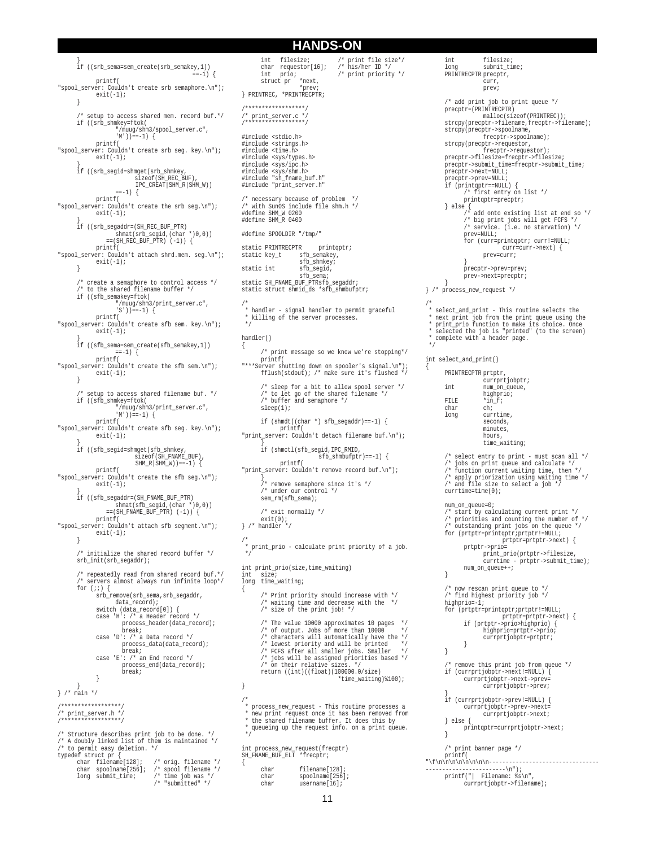} if ((srb\_sema=sem\_create(srb\_semakey,1))  $==-1$ ) { printf( "spool\_server: Couldn't create srb semaphore.\n"); exit(-1); } /\* setup to access shared mem. record buf.\*/ if ((srb\_shmkey=ftok( "/muug/shm3/spool\_server.c",  $(M'')$ ) ==-1) { printf( "spool\_server: Couldn't create srb seg. key.\n");  $ext(-1);$ } if ((srb\_segid=shmget(srb\_shmkey, sizeof(SH\_REC\_BUF), IPC\_CREAT|SHM\_R|SHM\_W))  $= -1)$   $\left\{ \right.$ printf( "spool\_server: Couldn't create the srb seg.\n");<br>exit(-1); } if ((srb\_segaddr=(SH\_REC\_BUF\_PTR) shmat(srb\_segid,(char \*)0,0)) ==(SH\_REC\_BUF\_PTR) (-1)) { printf( "spool\_server: Couldn't attach shrd.mem. seg.\n");  $exit(-1);$ } /\* create a semaphore to control access \*/ /\* to the shared filename buffer \*/ if ((sfb\_semakey=ftok( "/muug/shm3/print\_server.c", 'S'))==-1) { printf( "spool\_server: Couldn't create sfb sem. key.\n"); exit(-1); } if ((sfb\_sema=sem\_create(sfb\_semakey,1))  $==-1$ )  $\left\{$ printf( "spool\_server: Couldn't create the sfb sem.\n");<br>exit(-1); } /\* setup to access shared filename buf. \*/ if ((sfb\_shmkey=ftok( "/muug/shm3/print\_server.c",  $(M'')$ ) ==-1) { printf( "spool\_server: Couldn't create sfb seg. key.\n");  $ext(-1);$ } if ((sfb\_segid=shmget(sfb\_shmkey, sizeof(SH\_FNAME\_BUF), SHM\_R|SHM\_W))==-1) { printf( "spool\_server: Couldn't create the sfb seg.\n"); exit(-1); } if ((sfb\_segaddr=(SH\_FNAME\_BUF\_PTR) shmat(sfb\_segid,(char \*)0,0)) ==(SH\_FNAME\_BUF\_PTR) (-1)) { printf( "spool\_server: Couldn't attach sfb segment.\n");  $ext(-1);$ } /\* initialize the shared record buffer \*/ srb\_init(srb\_segaddr); /\* repeatedly read from shared record buf.\*/ /\* servers almost always run infinite loop\*/ for  $(i; j)$  { srb\_remove(srb\_sema,srb\_segaddr, data\_record); switch (data\_record[0]) { case 'H': /\* a Header record \*/ process\_header(data\_record); break; case 'D': /\* a Data record \*/ process\_data(data\_record); break; case 'E': /\* an End record \*/ process\_end(data\_record); break; } } } /\* main \*/ /\*\*\*\*\*\*\*\*\*\*\*\*\*\*\*\*\*\*/ /\* print\_server.h \*/ /\*\*\*\*\*\*\*\*\*\*\*\*\*\*\*\*\*\*/ /\* Structure describes print job to be done. \*/ /\* A doubly linked list of them is maintained \*/ /\* to permit easy deletion. \*/ typedef struct pr { char filename[128]; /\* orig. filename \*/ char spoolname[256]; /\* spool filename \*/ long submit\_time; /\* time job was \*/ /\* "submitted" \*/

 $char$  requestor[16];<br>int prio;  $i^*$  print priority \*/ struct pr \*next, \*prev; } PRINTREC, \*PRINTRECPTR; /\*\*\*\*\*\*\*\*\*\*\*\*\*\*\*\*\*\*/ /\* print\_server.c \*/ /\*\*\*\*\*\*\*\*\*\*\*\*\*\*\*\*\*\*/ #include <stdio.h> #include <strings.h> #include <time.h> #include <sys/types.h> #include <sys/ipc.h> #include <sys/shm.h> #include "sh\_fname\_buf.h" #include "print\_server.h" /\* necessary because of problem \*/ /\* with SunOS include file shm.h \*/ #define SHM\_W 0200 #define SHM\_R 0400 #define SPOOLDIR "/tmp/" static PRINTRECPTR printqptr; static key\_t sfb\_semakey, sfb\_shmkey; static int sfb segid, sfb\_sema; static SH\_FNAME\_BUF\_PTRsfb\_segaddr; static struct shmid\_ds \*sfb\_shmbufptr; /\* \* handler - signal handler to permit graceful \* killing of the server processes. \*/ handler() { /\* print message so we know we're stopping\*/ printf( "\*\*\*Server shutting down on spooler's signal.\n"); fflush(stdout); /\* make sure it's flushed \*/ /\* sleep for a bit to allow spool server \*/ /\* to let go of the shared filename \*/ /\* buffer and semaphore \*/ sleep(1); if (shmdt((char \*) sfb segaddr) ==-1) { printf( "print\_server: Couldn't detach filename buf.\n"); } if (shmctl(sfb\_segid,IPC\_RMID, sfb\_shmbufptr)==-1) { printf( "print\_server: Couldn't remove record buf.\n"); } /\* remove semaphore since it's \*/ /\* under our control \*/ sem\_rm(sfb\_sema); /\* exit normally \*/ exit(0);  $}^{\prime *}$  handler  $*$ / /\* \* print\_prio - calculate print priority of a job. \*/ int print\_prio(size,time\_waiting)  $size$ long time\_waiting; { /\* Print priority should increase with \*/ /\* waiting time and decrease with the \*/ /\* size of the print job! \*/ /\* The value 10000 approximates 10 pages \*/ /\* of output. Jobs of more than 10000 \*/ /\* characters will automatically have the \*/ /\* lowest priority and will be printed \*/ /\* FCFS after all smaller jobs. Smaller \*/ /\* jobs will be assigned priorities based \*/ /\* on their relative sizes. \*/ return ((int)((float)(100000.0/size) \*time\_waiting)%100); } /\* process new request - This routine processes a \* new print request once it has been removed from \* the shared filename buffer. It does this by queueing up the request info. on a print queue. \*/ int process\_new\_request(frecptr) SH\_FNAME\_BUF\_ELT \*frecptr; { char filename[128];<br>char spoolname[256] char spoolname[256];<br>char username[16];

int filesize;  $\frac{1}{2}$  /\* print file size\*/<br>char requestor[16]; /\* his/her ID \*/

**HANDS-ON**

```
int filesize;<br>long submit_time;
        long submit_time;
PRINTRECPTR precptr, curr,
                        prev;
        /* add print job to print queue */
        precptr=(PRINTRECPTR)
malloc(sizeof(PRINTREC));
        strcpy(precptr->filename,frecptr->filename);
        strcpy(precptr->spoolname,
frecptr->spoolname);
        strcpy(precptr->requestor,
        frecptr->requestor);
precptr->filesize=frecptr->filesize;
        precptr->submit_time=frecptr->submit_time;
precptr->next=NULL;
        precptr->prev=NULL;
        if (printqptr==NULL) {
/* first entry on list */
               printqptr=precptr;
        } else {
/* add onto existing list at end so */
/* big print jobs will get FCFS */
/* service. (i.e. no starvation) */
prev=NULL;
                for (curr=printqptr; curr!=NULL;
                         curr=curr->next) { prev=curr; }
precptr->prev=prev;
               prev->next=precptr;
}
} /* process_new_request */
/*
 * select_and_print - This routine selects the
 * next print job from the print queue using the
 * print_prio function to make its choice. Once
 * selected the job is "printed" (to the screen)
   complete with a header page.
 */
int select_and_print()
       PRINTRECPTR prtptr,
        currprtjobptr;
int num_on_queue,
                        highprio;
       FILE *in_f;<br>char ch;
       char<br>long
                        currtime,
                        seconds,
                        minutes,
                        hours,
                        time_waiting;
       /* select entry to print - must scan all */
        /* jobs on print queue and calculate */
/* function current waiting time, then */
/* apply priorization using waiting time */
/* and file size to select a job */
       currtime=time(0);
        num_on_queue=0;
        /* start by calculating current print */
        /* priorities and counting the number of */
        /* outstanding print jobs on the queue */
for (prtptr=printqptr;prtptr!=NULL;
                               prtptr=prtptr->next) {
                 prtptr->prio=
print_prio(prtptr->filesize,
                 currtime - prtptr->submit_time); num_on_queue++; }
        /* now rescan print queue to */
/* find highest priority job */
       highprio=-1;
        for (prtptr=printqptr;prtptr!=NULL;
                 prtptr=prtptr->next) {
if (prtptr->prio>highprio) {
                         highprio=prtptr->prio;
currprtjobptr=prtptr;
               }
        }
        /* remove this print job from queue */
        if (currprtjobptr->next!=NULL) {
currprtjobptr->next->prev=
                       currprtjobptr->prev;
        }
if (currprtjobptr->prev!=NULL) {
                 currprtjobptr->prev->next=
currprtjobptr->next;
        } else {
              printqptr=currprtjobptr->next;
        }
```
/\* print banner page \*/

printf("| Filename: %s\n", currprtjobptr->filename);

 $\int f\ln\ln\ln\ln\ln\ln\ln\ln\ln$ ------------------------\n");

printf(

{

username[16];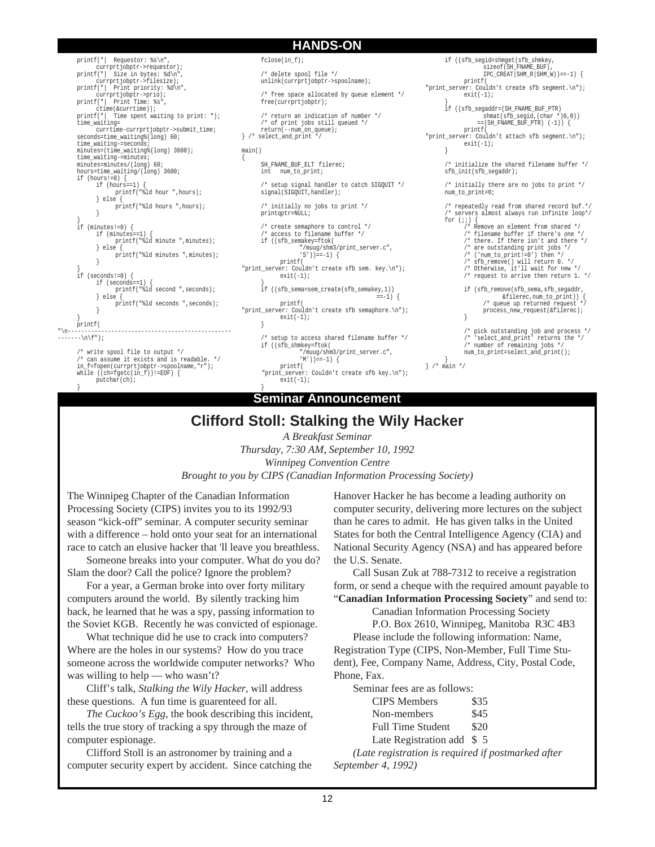printf("| Requestor: %s\n", currprtjobptr->requestor);<br>printf("| Size in bytes: %d\n", prejosper >requescor;;<br>Size in bytes: %d\n", currprtjobptr->filesize); printf("| Print priority: %d\n", currprtjobptr->prio); printf("| Print Time: %s", ctime(&currtime)); printf("| Time spent waiting to print: "); time\_waiting= currtime-currprtjobptr->submit\_time; seconds=time\_waiting%(long) 60; time\_waiting-=seconds; minutes=(time\_waiting%(long) 3600); time\_waiting-=minutes; minutes=minutes/(long) 60; hours=time\_waiting/(long) 3600; if (hours!=0) { if (hours==1) { printf("%ld hour ",hours); } else { printf("%ld hours ",hours); } } if (minutes!=0) { if (minutes==1) { printf("%ld minute ",minutes); } else printf("%ld minutes ",minutes); } } if (seconds!=0) { if (seconds==1) { printf("%ld second ",seconds); } else { printf("%ld seconds ",seconds); } } printf( "\n------------------------------------------------- -------\n\f");

/\* write spool file to output \*/ can assume it exists and is readable. \*/ in\_f=fopen(currprtjobptr->spoolname,"r"); while  $(\vec{c} - f)$  =  $E$ OF)  $\{$ putchar(ch); }

**HANDS-ON**

fclose(in f); /\* delete spool file \*/ unlink(currprtjobptr->spoolname);

 $\prime^*$  free space allocated by queue element \*/ free(currprtjobptr);

/\* return an indication of number \*/  $\prime\text{*}$  of print jobs still queued  $\text{*}/$ return(--num\_on\_queue); } /\* select\_and\_print \*/

main()

}

{

SH\_FNAME\_BUF\_ELT filerec;<br>int \_\_ num\_to\_print; num\_to\_print;

/\* setup signal handler to catch SIGQUIT \*/ signal(SIGQUIT, handler);

/\* initially no jobs to print \*/  $\texttt{printqptr}$  =NULL  $\texttt{i}$ 

/\* create semaphore to control \*/ /\* access to filename buffer \*/ if ((sfb\_semakey=ftok( "/muug/shm3/print\_server.c", 'S'))==-1) { printf(

"print\_server: Couldn't create sfb sem. key.\n"); exit(-1);

} if ((sfb\_sema=sem\_create(sfb\_semakey,1))  $==-1$ ) { printf(

"print\_server: Couldn't create sfb semaphore.\n");  $exit(-1);$ }

/\* setup to access shared filename buffer \*/ if ((sfb\_shmkey=ftok( "/muug/shm3/print\_server.c", 'M')) ==-1) { printf( "print\_server: Couldn't create sfb key.\n");  $ext(-1);$ 

**Seminar Announcement**

printf( "print\_server: Couldn't create sfb segment.\n");  $exit(-1);$ } if ((sfb\_segaddr=(SH\_FNAME\_BUF\_PTR) shmat(sfb\_segid,(char \*)0,0))  $==({\tt SH\_FNAME\_BUF\_PTR}) (-1)) {\ } \{$ printf( "print\_server: Couldn't attach sfb segment.\n");  $exit(-1);$ } /\* initialize the shared filename buffer \*/ sfb\_init(sfb\_segaddr); /\* initially there are no jobs to print \*/ num to print=0; /\* repeatedly read from shared record buf.\*/ servers almost always run infinite loop\*/ for  $(i; j)$ /\* Remove an element from shared \*/ /\* filename buffer if there's one \*/ /\* there. If there isn't and there \*/ /\* are outstanding print jobs \*/ /\* ('num\_to\_print!=0') then \*/ /\* sfb\_remove() will return 0. \*/ /\* Otherwise, it'll wait for new \*/ /\* request to arrive then return 1. \*/

if ((sfb\_segid=shmget(sfb\_shmkey, sizeof(SH\_FNAME\_BUF)  $IPC_CREAT|SHM_R|SHM_W)$ ) ==-1) {

> if (sfb\_remove(sfb\_sema,sfb\_segaddr,  $%$ filerec,num\_to\_print)) {<br> $%$ filerec,num\_to\_print)) {  $/*$  queue up returned request process\_new\_request(&filerec); }

/\* pick outstanding job and process \*/ /\* 'select\_and\_print' returns the \*/ /\* number of remaining jobs \*/ num\_to\_print=select\_and\_print();

} } /\* main \*/

**Clifford Stoll: Stalking the Wily Hacker**

*A Breakfast Seminar Thursday, 7:30 AM, September 10, 1992 Winnipeg Convention Centre Brought to you by CIPS (Canadian Information Processing Society)*

The Winnipeg Chapter of the Canadian Information Processing Society (CIPS) invites you to its 1992/93 season "kick-off" seminar. A computer security seminar with a difference – hold onto your seat for an international race to catch an elusive hacker that 'll leave you breathless.

Someone breaks into your computer. What do you do? Slam the door? Call the police? Ignore the problem?

For a year, a German broke into over forty military computers around the world. By silently tracking him back, he learned that he was a spy, passing information to the Soviet KGB. Recently he was convicted of espionage.

What technique did he use to crack into computers? Where are the holes in our systems? How do you trace someone across the worldwide computer networks? Who was willing to help — who wasn't?

Cliff's talk, *Stalking the Wily Hacker*, will address these questions. A fun time is guarenteed for all.

*The Cuckoo's Egg*, the book describing this incident, tells the true story of tracking a spy through the maze of computer espionage.

Clifford Stoll is an astronomer by training and a computer security expert by accident. Since catching the Hanover Hacker he has become a leading authority on computer security, delivering more lectures on the subject than he cares to admit. He has given talks in the United States for both the Central Intelligence Agency (CIA) and National Security Agency (NSA) and has appeared before the U.S. Senate.

Call Susan Zuk at 788-7312 to receive a registration form, or send a cheque with the required amount payable to "**Canadian Information Processing Society**" and send to:

Canadian Information Processing Society

P.O. Box 2610, Winnipeg, Manitoba R3C 4B3 Please include the following information: Name, Registration Type (CIPS, Non-Member, Full Time Stu-

dent), Fee, Company Name, Address, City, Postal Code, Phone, Fax.

Seminar fees are as follows:

| <b>CIPS</b> Members        | \$35 |
|----------------------------|------|
| Non-members                | \$45 |
| <b>Full Time Student</b>   | \$20 |
| Late Registration add $$5$ |      |

*(Late registration is required if postmarked after September 4, 1992)*